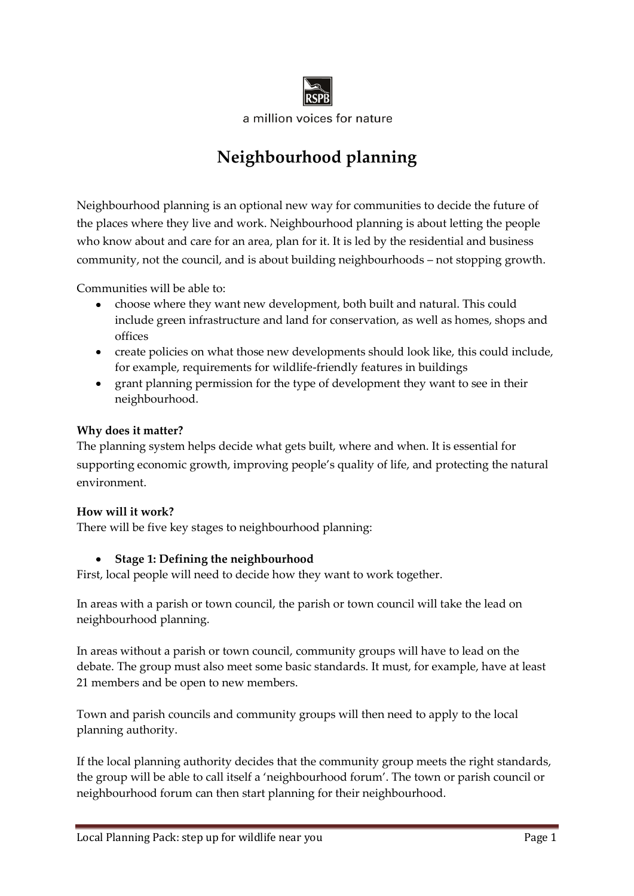

a million voices for nature

# **Neighbourhood planning**

Neighbourhood planning is an optional new way for communities to decide the future of the places where they live and work. Neighbourhood planning is about letting the people who know about and care for an area, plan for it. It is led by the residential and business community, not the council, and is about building neighbourhoods – not stopping growth.

Communities will be able to:

- choose where they want new development, both built and natural. This could include green infrastructure and land for conservation, as well as homes, shops and offices
- create policies on what those new developments should look like, this could include, for example, requirements for wildlife-friendly features in buildings
- $\bullet$ grant planning permission for the type of development they want to see in their neighbourhood.

# **Why does it matter?**

The planning system helps decide what gets built, where and when. It is essential for supporting economic growth, improving people's quality of life, and protecting the natural environment.

# **How will it work?**

There will be five key stages to neighbourhood planning:

### $\bullet$ **Stage 1: Defining the neighbourhood**

First, local people will need to decide how they want to work together.

In areas with a parish or town council, the parish or town council will take the lead on neighbourhood planning.

In areas without a parish or town council, community groups will have to lead on the debate. The group must also meet some basic standards. It must, for example, have at least 21 members and be open to new members.

Town and parish councils and community groups will then need to apply to the local planning authority.

If the local planning authority decides that the community group meets the right standards, the group will be able to call itself a 'neighbourhood forum'. The town or parish council or neighbourhood forum can then start planning for their neighbourhood.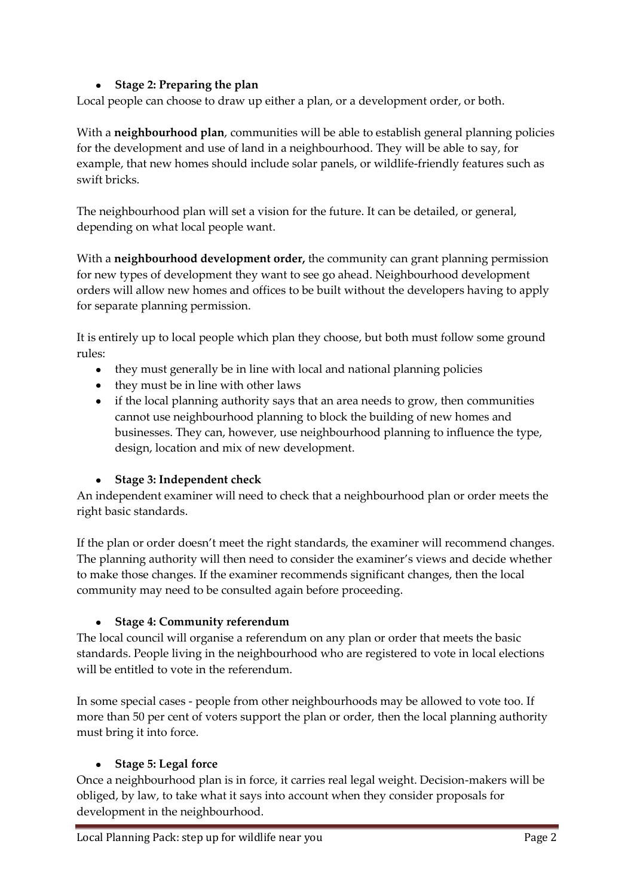# **Stage 2: Preparing the plan**

Local people can choose to draw up either a plan, or a development order, or both.

With a **neighbourhood plan**, communities will be able to establish general planning policies for the development and use of land in a neighbourhood. They will be able to say, for example, that new homes should include solar panels, or wildlife-friendly features such as swift bricks.

The neighbourhood plan will set a vision for the future. It can be detailed, or general, depending on what local people want.

With a **neighbourhood development order,** the community can grant planning permission for new types of development they want to see go ahead. Neighbourhood development orders will allow new homes and offices to be built without the developers having to apply for separate planning permission.

It is entirely up to local people which plan they choose, but both must follow some ground rules:

- they must generally be in line with local and national planning policies
- they must be in line with other laws
- if the local planning authority says that an area needs to grow, then communities cannot use neighbourhood planning to block the building of new homes and businesses. They can, however, use neighbourhood planning to influence the type, design, location and mix of new development.

# **Stage 3: Independent check**

An independent examiner will need to check that a neighbourhood plan or order meets the right basic standards.

If the plan or order doesn't meet the right standards, the examiner will recommend changes. The planning authority will then need to consider the examiner's views and decide whether to make those changes. If the examiner recommends significant changes, then the local community may need to be consulted again before proceeding.

# **Stage 4: Community referendum**

The local council will organise a referendum on any plan or order that meets the basic standards. People living in the neighbourhood who are registered to vote in local elections will be entitled to vote in the referendum.

In some special cases - people from other neighbourhoods may be allowed to vote too. If more than 50 per cent of voters support the plan or order, then the local planning authority must bring it into force.

### **Stage 5: Legal force**   $\bullet$

Once a neighbourhood plan is in force, it carries real legal weight. Decision-makers will be obliged, by law, to take what it says into account when they consider proposals for development in the neighbourhood.